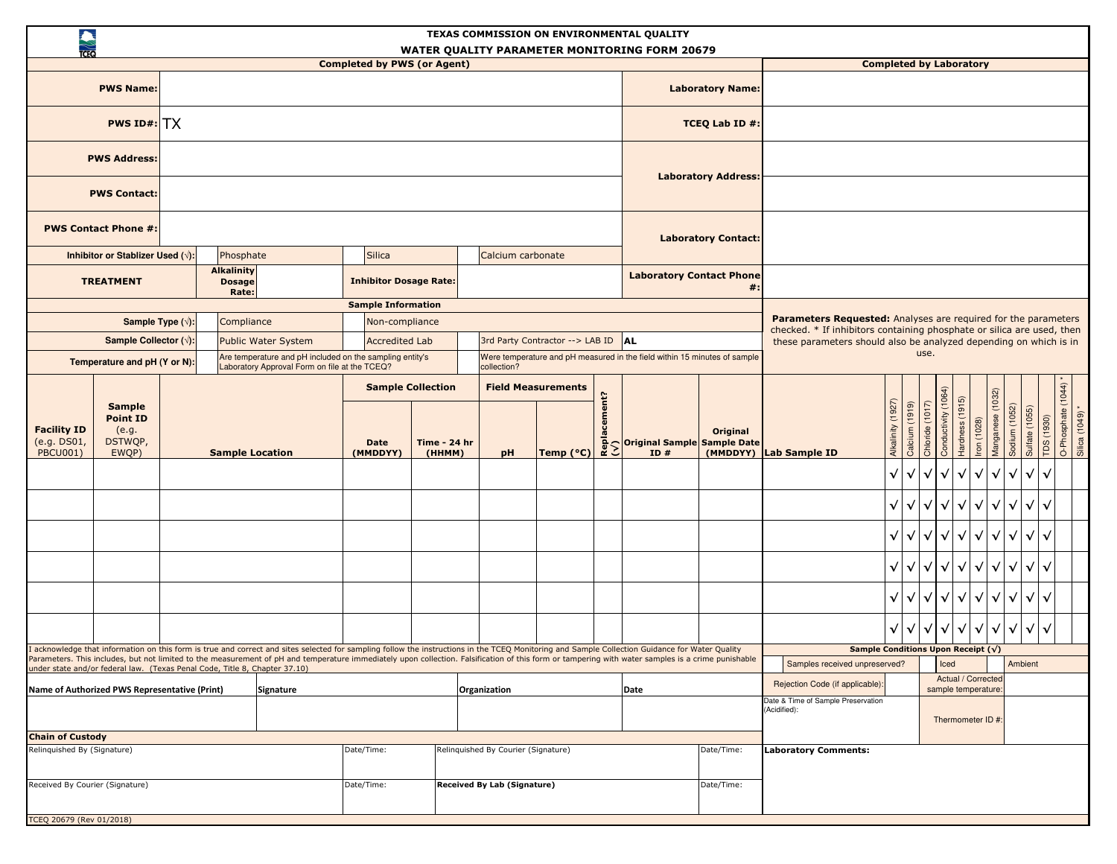| $\frac{1}{\sqrt{\frac{1}{1}}\sqrt{\frac{1}{1}}\sqrt{\frac{1}{1}}\sqrt{\frac{1}{1}}\sqrt{\frac{1}{1}}\sqrt{\frac{1}{1}}\sqrt{\frac{1}{1}}\sqrt{\frac{1}{1}}\sqrt{\frac{1}{1}}\sqrt{\frac{1}{1}}\sqrt{\frac{1}{1}}\sqrt{\frac{1}{1}}\sqrt{\frac{1}{1}}\sqrt{\frac{1}{1}}\sqrt{\frac{1}{1}}\sqrt{\frac{1}{1}}\sqrt{\frac{1}{1}}\sqrt{\frac{1}{1}}\sqrt{\frac{1}{1}}\sqrt{\frac{1}{1}}\sqrt{\frac{1}{1}}\sqrt{\frac{1}{1}}\sqrt{\frac{1}{1}}\sqrt{\frac{1}{1$<br>TEXAS COMMISSION ON ENVIRONMENTAL QUALITY |                                                          |                                                                                                           |                        |                                                                                                                                                                                                 |                               |                           |        |                                    |                                     |                                                             |                                 |                                                                           |                                                                      |                                                                                                                                          |                       |                     |                                           |                 |              |                                   |                |              |                                     |
|--------------------------------------------------------------------------------------------------------------------------------------------------------------------------------------------------------------------------------------------------------------------------------------------------------------------------------------------------------------------------------------------------------------------------------------------------------------------------------------------------------|----------------------------------------------------------|-----------------------------------------------------------------------------------------------------------|------------------------|-------------------------------------------------------------------------------------------------------------------------------------------------------------------------------------------------|-------------------------------|---------------------------|--------|------------------------------------|-------------------------------------|-------------------------------------------------------------|---------------------------------|---------------------------------------------------------------------------|----------------------------------------------------------------------|------------------------------------------------------------------------------------------------------------------------------------------|-----------------------|---------------------|-------------------------------------------|-----------------|--------------|-----------------------------------|----------------|--------------|-------------------------------------|
| <b>WATER QUALITY PARAMETER MONITORING FORM 20679</b><br><b>Completed by PWS (or Agent)</b>                                                                                                                                                                                                                                                                                                                                                                                                             |                                                          |                                                                                                           |                        |                                                                                                                                                                                                 |                               |                           |        |                                    | <b>Completed by Laboratory</b>      |                                                             |                                 |                                                                           |                                                                      |                                                                                                                                          |                       |                     |                                           |                 |              |                                   |                |              |                                     |
|                                                                                                                                                                                                                                                                                                                                                                                                                                                                                                        |                                                          |                                                                                                           |                        |                                                                                                                                                                                                 |                               |                           |        |                                    |                                     |                                                             |                                 |                                                                           |                                                                      |                                                                                                                                          |                       |                     |                                           |                 |              |                                   |                |              |                                     |
|                                                                                                                                                                                                                                                                                                                                                                                                                                                                                                        | <b>PWS Name:</b>                                         |                                                                                                           |                        |                                                                                                                                                                                                 |                               |                           |        |                                    |                                     |                                                             | <b>Laboratory Name:</b>         |                                                                           |                                                                      |                                                                                                                                          |                       |                     |                                           |                 |              |                                   |                |              |                                     |
|                                                                                                                                                                                                                                                                                                                                                                                                                                                                                                        | <b>PWS ID#:</b> $TX$                                     |                                                                                                           |                        |                                                                                                                                                                                                 |                               |                           |        |                                    |                                     |                                                             | TCEQ Lab ID #:                  |                                                                           |                                                                      |                                                                                                                                          |                       |                     |                                           |                 |              |                                   |                |              |                                     |
| <b>PWS Address:</b>                                                                                                                                                                                                                                                                                                                                                                                                                                                                                    |                                                          |                                                                                                           |                        |                                                                                                                                                                                                 |                               |                           |        |                                    |                                     |                                                             | <b>Laboratory Address:</b>      |                                                                           |                                                                      |                                                                                                                                          |                       |                     |                                           |                 |              |                                   |                |              |                                     |
|                                                                                                                                                                                                                                                                                                                                                                                                                                                                                                        | <b>PWS Contact:</b>                                      |                                                                                                           |                        |                                                                                                                                                                                                 |                               |                           |        |                                    |                                     |                                                             |                                 |                                                                           |                                                                      |                                                                                                                                          |                       |                     |                                           |                 |              |                                   |                |              |                                     |
|                                                                                                                                                                                                                                                                                                                                                                                                                                                                                                        | <b>PWS Contact Phone #:</b>                              |                                                                                                           |                        |                                                                                                                                                                                                 |                               |                           |        |                                    |                                     |                                                             |                                 | <b>Laboratory Contact:</b>                                                |                                                                      |                                                                                                                                          |                       |                     |                                           |                 |              |                                   |                |              |                                     |
|                                                                                                                                                                                                                                                                                                                                                                                                                                                                                                        | Phosphate<br>Inhibitor or Stablizer Used ( $\sqrt{ }$ ): |                                                                                                           |                        |                                                                                                                                                                                                 | <b>Silica</b>                 |                           |        | Calcium carbonate                  |                                     |                                                             |                                 |                                                                           |                                                                      |                                                                                                                                          |                       |                     |                                           |                 |              |                                   |                |              |                                     |
| <b>TREATMENT</b>                                                                                                                                                                                                                                                                                                                                                                                                                                                                                       | <b>Alkalinity</b><br><b>Dosage</b><br>Rate:              |                                                                                                           |                        |                                                                                                                                                                                                 | <b>Inhibitor Dosage Rate:</b> |                           |        |                                    |                                     |                                                             | <b>Laboratory Contact Phone</b> | $#$ :                                                                     |                                                                      |                                                                                                                                          |                       |                     |                                           |                 |              |                                   |                |              |                                     |
|                                                                                                                                                                                                                                                                                                                                                                                                                                                                                                        |                                                          |                                                                                                           |                        |                                                                                                                                                                                                 |                               | <b>Sample Information</b> |        |                                    |                                     |                                                             |                                 |                                                                           |                                                                      |                                                                                                                                          |                       |                     |                                           |                 |              |                                   |                |              |                                     |
|                                                                                                                                                                                                                                                                                                                                                                                                                                                                                                        | Sample Type ( $\sqrt{ }$ ):                              | Compliance                                                                                                |                        |                                                                                                                                                                                                 |                               | Non-compliance            |        |                                    |                                     |                                                             |                                 |                                                                           |                                                                      | Parameters Requested: Analyses are required for the parameters<br>checked. * If inhibitors containing phosphate or silica are used, then |                       |                     |                                           |                 |              |                                   |                |              |                                     |
|                                                                                                                                                                                                                                                                                                                                                                                                                                                                                                        | Sample Collector ( $\sqrt{ }$ ):                         | <b>Public Water System</b>                                                                                |                        |                                                                                                                                                                                                 |                               | <b>Accredited Lab</b>     |        |                                    |                                     | 3rd Party Contractor --> LAB ID                             |                                 | <b>AL</b>                                                                 |                                                                      | these parameters should also be analyzed depending on which is in                                                                        |                       |                     | use.                                      |                 |              |                                   |                |              |                                     |
|                                                                                                                                                                                                                                                                                                                                                                                                                                                                                                        | Temperature and pH (Y or N):                             | Are temperature and pH included on the sampling entity's<br>Laboratory Approval Form on file at the TCEQ? |                        |                                                                                                                                                                                                 |                               |                           |        |                                    | collection?                         |                                                             |                                 | Were temperature and pH measured in the field within 15 minutes of sample |                                                                      |                                                                                                                                          |                       |                     |                                           |                 |              |                                   |                |              |                                     |
|                                                                                                                                                                                                                                                                                                                                                                                                                                                                                                        | <b>Sample</b>                                            |                                                                                                           |                        |                                                                                                                                                                                                 | <b>Sample Collection</b>      |                           |        |                                    | <b>Field Measurements</b>           |                                                             | cement?                         |                                                                           |                                                                      |                                                                                                                                          |                       |                     |                                           |                 |              |                                   |                |              |                                     |
| <b>Facility ID</b><br>(e.g. DS01,                                                                                                                                                                                                                                                                                                                                                                                                                                                                      | <b>Point ID</b><br>(e.g.<br>DSTWQP,                      |                                                                                                           |                        |                                                                                                                                                                                                 |                               | <b>Date</b>               |        | Time - 24 hr                       |                                     |                                                             | Repla                           | <b>Original Sample</b>                                                    | Original<br><b>Sample Date</b>                                       |                                                                                                                                          | Alkalinity (1927)     | Calcium (1919)      | Conductivity (1064)<br>(1017)<br>Chloride | Hardness (1915) | Iron (1028)  | Manganese (1032)<br>Sodium (1052) | Sulfate (1055) | TDS (1930)   | O-Phosphate (1044)<br>Silica (1049) |
| <b>PBCU001)</b>                                                                                                                                                                                                                                                                                                                                                                                                                                                                                        | EWQP)                                                    |                                                                                                           | <b>Sample Location</b> |                                                                                                                                                                                                 |                               | (MMDDYY)                  | (HHMM) |                                    | pH                                  | Temp (°C)                                                   |                                 | ID#                                                                       |                                                                      | (MMDDYY) Lab Sample ID                                                                                                                   | $\checkmark$          | $\sqrt{ }$          | $\checkmark$                              | $\checkmark$    | $\sqrt{ }$   | $\checkmark$<br>$\checkmark$      | √              | $\checkmark$ |                                     |
|                                                                                                                                                                                                                                                                                                                                                                                                                                                                                                        |                                                          |                                                                                                           |                        |                                                                                                                                                                                                 |                               |                           |        |                                    |                                     |                                                             |                                 |                                                                           |                                                                      |                                                                                                                                          |                       |                     |                                           |                 |              |                                   |                |              |                                     |
|                                                                                                                                                                                                                                                                                                                                                                                                                                                                                                        |                                                          |                                                                                                           |                        |                                                                                                                                                                                                 |                               |                           |        |                                    |                                     |                                                             |                                 |                                                                           |                                                                      |                                                                                                                                          | $\sqrt{ }$            |                     | $\sqrt{ }$<br>$\checkmark$                | $\checkmark$    | $\sqrt{ }$   | √<br>$\mathbf{v}$                 | √              | ν            |                                     |
|                                                                                                                                                                                                                                                                                                                                                                                                                                                                                                        |                                                          |                                                                                                           |                        |                                                                                                                                                                                                 |                               |                           |        |                                    |                                     |                                                             |                                 |                                                                           |                                                                      |                                                                                                                                          | $\sqrt{ }$            |                     | $\checkmark$<br>$\checkmark$              | $\sqrt{ }$      | $\checkmark$ | $\checkmark$<br>$\sqrt{ }$        | $\checkmark$   | $\checkmark$ |                                     |
|                                                                                                                                                                                                                                                                                                                                                                                                                                                                                                        |                                                          |                                                                                                           |                        |                                                                                                                                                                                                 |                               |                           |        |                                    |                                     |                                                             |                                 |                                                                           |                                                                      |                                                                                                                                          | $\sqrt{ }$ $\sqrt{ }$ |                     | $\sqrt{ }$<br>$\sqrt{ }$                  | $\checkmark$    | $\checkmark$ | $\checkmark$<br>$\checkmark$      | √              | $\checkmark$ |                                     |
|                                                                                                                                                                                                                                                                                                                                                                                                                                                                                                        |                                                          |                                                                                                           |                        |                                                                                                                                                                                                 |                               |                           |        |                                    |                                     |                                                             |                                 |                                                                           |                                                                      |                                                                                                                                          | $\sqrt{ }$            |                     | $\checkmark$<br>$\sqrt{ }$                | $\checkmark$    | $\sqrt{ }$   | $\sqrt{ }$<br>$\sqrt{ }$          | √              | V            |                                     |
|                                                                                                                                                                                                                                                                                                                                                                                                                                                                                                        |                                                          |                                                                                                           |                        |                                                                                                                                                                                                 |                               |                           |        |                                    |                                     |                                                             |                                 |                                                                           |                                                                      |                                                                                                                                          | $\sqrt{ }$            |                     | $\checkmark$                              | $\checkmark$    | $\checkmark$ | √<br>$\sqrt{ }$                   | $\checkmark$   | $\check{ }$  |                                     |
|                                                                                                                                                                                                                                                                                                                                                                                                                                                                                                        |                                                          |                                                                                                           |                        | I acknowledge that information on this form is true and correct and sites selected for sampling follow the instructions in the TCEQ Monitoring and Sample Collection Guidance for Water Quality |                               |                           |        |                                    |                                     |                                                             |                                 |                                                                           |                                                                      | Sample Conditions Upon Receipt $(\sqrt)$                                                                                                 |                       |                     |                                           |                 |              |                                   |                |              |                                     |
| arameters. This includes, but not limited to the measurement of pH and temperature immediately upon collection. Falsification of this form or tampering with water samples is a crime punishable<br>under state and/or federal law. (Texas Penal Code, Title 8, Chapter 37.10)                                                                                                                                                                                                                         |                                                          |                                                                                                           |                        |                                                                                                                                                                                                 |                               |                           |        |                                    |                                     | Samples received unpreserved?<br>Iced<br>Actual / Corrected |                                 |                                                                           |                                                                      |                                                                                                                                          | Ambient               |                     |                                           |                 |              |                                   |                |              |                                     |
| Name of Authorized PWS Representative (Print)                                                                                                                                                                                                                                                                                                                                                                                                                                                          |                                                          |                                                                                                           |                        |                                                                                                                                                                                                 |                               |                           |        | Organization                       |                                     |                                                             | Date                            |                                                                           | Rejection Code (if applicable)<br>Date & Time of Sample Preservation |                                                                                                                                          |                       | sample temperature: |                                           |                 |              |                                   |                |              |                                     |
| <b>Chain of Custody</b>                                                                                                                                                                                                                                                                                                                                                                                                                                                                                |                                                          |                                                                                                           |                        |                                                                                                                                                                                                 |                               |                           |        |                                    |                                     |                                                             |                                 |                                                                           |                                                                      | (Acidified):<br>Thermometer ID#:                                                                                                         |                       |                     |                                           |                 |              |                                   |                |              |                                     |
| Relinquished By (Signature)                                                                                                                                                                                                                                                                                                                                                                                                                                                                            |                                                          |                                                                                                           |                        |                                                                                                                                                                                                 |                               | Date/Time:                |        |                                    | Relinquished By Courier (Signature) |                                                             |                                 |                                                                           | Date/Time:                                                           | <b>Laboratory Comments:</b>                                                                                                              |                       |                     |                                           |                 |              |                                   |                |              |                                     |
| Received By Courier (Signature)                                                                                                                                                                                                                                                                                                                                                                                                                                                                        |                                                          |                                                                                                           |                        |                                                                                                                                                                                                 | Date/Time:                    |                           |        | <b>Received By Lab (Signature)</b> |                                     |                                                             |                                 | Date/Time:                                                                |                                                                      |                                                                                                                                          |                       |                     |                                           |                 |              |                                   |                |              |                                     |
|                                                                                                                                                                                                                                                                                                                                                                                                                                                                                                        | TCEQ 20679 (Rev 01/2018)                                 |                                                                                                           |                        |                                                                                                                                                                                                 |                               |                           |        |                                    |                                     |                                                             |                                 |                                                                           |                                                                      |                                                                                                                                          |                       |                     |                                           |                 |              |                                   |                |              |                                     |